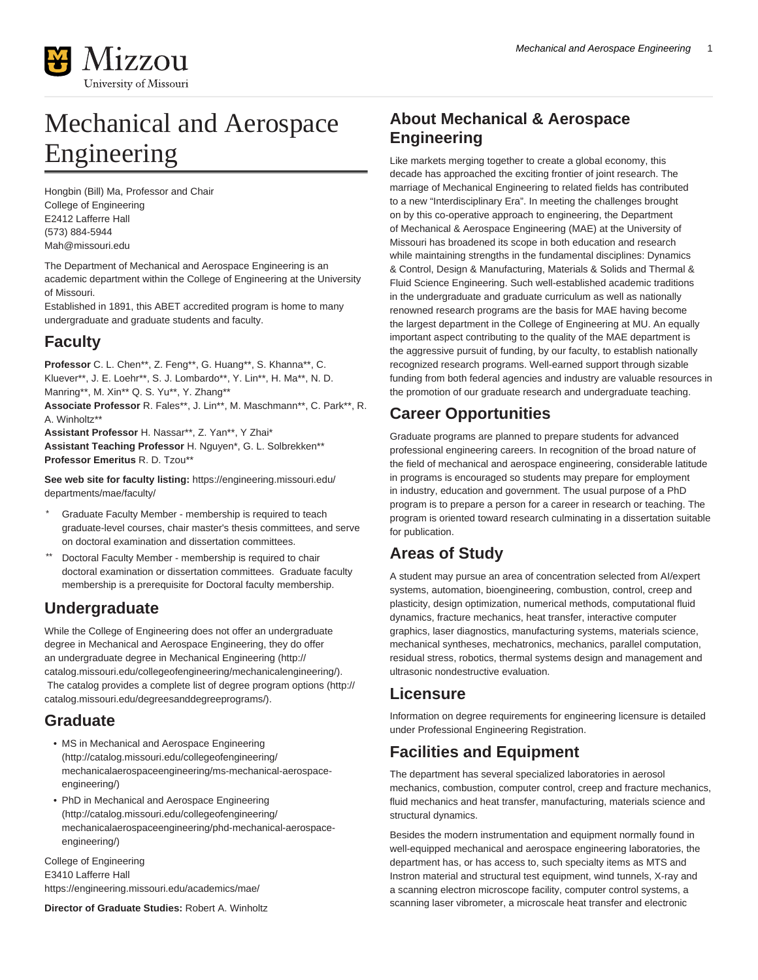

# Mechanical and Aerospace Engineering

Hongbin (Bill) Ma, Professor and Chair College of Engineering E2412 Lafferre Hall (573) 884-5944 [Mah@missouri.edu](mailto:Mah@missouri.edu)

The Department of Mechanical and Aerospace Engineering is an academic department within the College of Engineering at the University of Missouri.

Established in 1891, this ABET accredited program is home to many undergraduate and graduate students and faculty.

## **Faculty**

**Professor** C. L. Chen\*\*, Z. Feng\*\*, G. Huang\*\*, S. Khanna\*\*, C. Kluever\*\*, J. E. Loehr\*\*, S. J. Lombardo\*\*, Y. Lin\*\*, H. Ma\*\*, N. D. Manring\*\*, M. Xin\*\* Q. S. Yu\*\*, Y. Zhang\*\*

**Associate Professor** R. Fales\*\*, J. Lin\*\*, M. Maschmann\*\*, C. Park\*\*, R. A. Winholtz\*\*

**Assistant Professor** H. Nassar\*\*, Z. Yan\*\*, Y Zhai\* **Assistant Teaching Professor** H. Nguyen\*, G. L. Solbrekken\*\* **Professor Emeritus** R. D. Tzou\*\*

**See web site for faculty listing:** [https://engineering.missouri.edu/](https://engineering.missouri.edu/departments/mae/faculty/) [departments/mae/faculty/](https://engineering.missouri.edu/departments/mae/faculty/)

- Graduate Faculty Member membership is required to teach graduate-level courses, chair master's thesis committees, and serve on doctoral examination and dissertation committees.
- Doctoral Faculty Member membership is required to chair doctoral examination or dissertation committees. Graduate faculty membership is a prerequisite for Doctoral faculty membership.

## **Undergraduate**

While the College of Engineering does not offer an undergraduate degree in Mechanical and Aerospace Engineering, they do offer an undergraduate degree in [Mechanical Engineering](http://catalog.missouri.edu/collegeofengineering/mechanicalengineering/) [\(http://](http://catalog.missouri.edu/collegeofengineering/mechanicalengineering/) [catalog.missouri.edu/collegeofengineering/mechanicalengineering/](http://catalog.missouri.edu/collegeofengineering/mechanicalengineering/)). The catalog provides a complete list of [degree program options](http://catalog.missouri.edu/degreesanddegreeprograms/) ([http://](http://catalog.missouri.edu/degreesanddegreeprograms/) [catalog.missouri.edu/degreesanddegreeprograms/\)](http://catalog.missouri.edu/degreesanddegreeprograms/).

## **Graduate**

- [MS in Mechanical and Aerospace Engineering](http://catalog.missouri.edu/collegeofengineering/mechanicalaerospaceengineering/ms-mechanical-aerospace-engineering/) ([http://catalog.missouri.edu/collegeofengineering/](http://catalog.missouri.edu/collegeofengineering/mechanicalaerospaceengineering/ms-mechanical-aerospace-engineering/) [mechanicalaerospaceengineering/ms-mechanical-aerospace](http://catalog.missouri.edu/collegeofengineering/mechanicalaerospaceengineering/ms-mechanical-aerospace-engineering/)[engineering/](http://catalog.missouri.edu/collegeofengineering/mechanicalaerospaceengineering/ms-mechanical-aerospace-engineering/))
- [PhD in Mechanical and Aerospace Engineering](http://catalog.missouri.edu/collegeofengineering/mechanicalaerospaceengineering/phd-mechanical-aerospace-engineering/) ([http://catalog.missouri.edu/collegeofengineering/](http://catalog.missouri.edu/collegeofengineering/mechanicalaerospaceengineering/phd-mechanical-aerospace-engineering/) [mechanicalaerospaceengineering/phd-mechanical-aerospace](http://catalog.missouri.edu/collegeofengineering/mechanicalaerospaceengineering/phd-mechanical-aerospace-engineering/)[engineering/](http://catalog.missouri.edu/collegeofengineering/mechanicalaerospaceengineering/phd-mechanical-aerospace-engineering/))

College of Engineering E3410 Lafferre Hall <https://engineering.missouri.edu/academics/mae/>

**Director of Graduate Studies:** Robert A. Winholtz

## **About Mechanical & Aerospace Engineering**

Like markets merging together to create a global economy, this decade has approached the exciting frontier of joint research. The marriage of Mechanical Engineering to related fields has contributed to a new "Interdisciplinary Era". In meeting the challenges brought on by this co-operative approach to engineering, the Department of Mechanical & Aerospace Engineering (MAE) at the University of Missouri has broadened its scope in both education and research while maintaining strengths in the fundamental disciplines: Dynamics & Control, Design & Manufacturing, Materials & Solids and Thermal & Fluid Science Engineering. Such well-established academic traditions in the undergraduate and graduate curriculum as well as nationally renowned research programs are the basis for MAE having become the largest department in the College of Engineering at MU. An equally important aspect contributing to the quality of the MAE department is the aggressive pursuit of funding, by our faculty, to establish nationally recognized research programs. Well-earned support through sizable funding from both federal agencies and industry are valuable resources in the promotion of our graduate research and undergraduate teaching.

## **Career Opportunities**

Graduate programs are planned to prepare students for advanced professional engineering careers. In recognition of the broad nature of the field of mechanical and aerospace engineering, considerable latitude in programs is encouraged so students may prepare for employment in industry, education and government. The usual purpose of a PhD program is to prepare a person for a career in research or teaching. The program is oriented toward research culminating in a dissertation suitable for publication.

## **Areas of Study**

A student may pursue an area of concentration selected from AI/expert systems, automation, bioengineering, combustion, control, creep and plasticity, design optimization, numerical methods, computational fluid dynamics, fracture mechanics, heat transfer, interactive computer graphics, laser diagnostics, manufacturing systems, materials science, mechanical syntheses, mechatronics, mechanics, parallel computation, residual stress, robotics, thermal systems design and management and ultrasonic nondestructive evaluation.

## **Licensure**

Information on degree requirements for engineering licensure is detailed under Professional Engineering Registration.

## **Facilities and Equipment**

The department has several specialized laboratories in aerosol mechanics, combustion, computer control, creep and fracture mechanics, fluid mechanics and heat transfer, manufacturing, materials science and structural dynamics.

Besides the modern instrumentation and equipment normally found in well-equipped mechanical and aerospace engineering laboratories, the department has, or has access to, such specialty items as MTS and Instron material and structural test equipment, wind tunnels, X-ray and a scanning electron microscope facility, computer control systems, a scanning laser vibrometer, a microscale heat transfer and electronic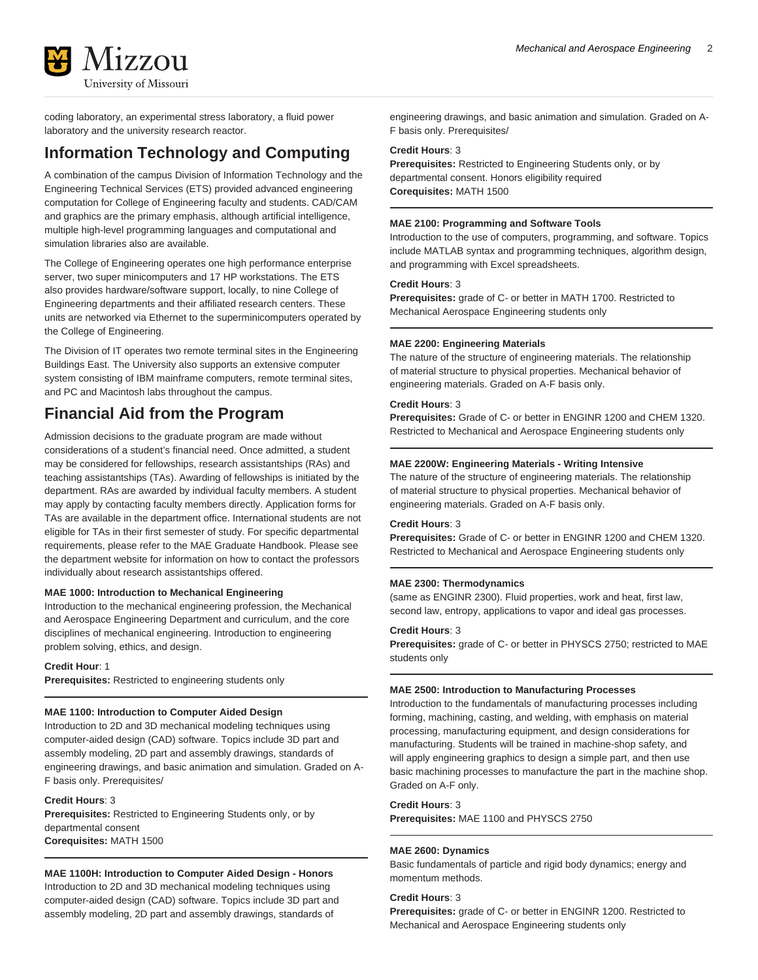

coding laboratory, an experimental stress laboratory, a fluid power laboratory and the university research reactor.

## **Information Technology and Computing**

A combination of the campus Division of Information Technology and the Engineering Technical Services (ETS) provided advanced engineering computation for College of Engineering faculty and students. CAD/CAM and graphics are the primary emphasis, although artificial intelligence, multiple high-level programming languages and computational and simulation libraries also are available.

The College of Engineering operates one high performance enterprise server, two super minicomputers and 17 HP workstations. The ETS also provides hardware/software support, locally, to nine College of Engineering departments and their affiliated research centers. These units are networked via Ethernet to the superminicomputers operated by the College of Engineering.

The Division of IT operates two remote terminal sites in the Engineering Buildings East. The University also supports an extensive computer system consisting of IBM mainframe computers, remote terminal sites, and PC and Macintosh labs throughout the campus.

## **Financial Aid from the Program**

Admission decisions to the graduate program are made without considerations of a student's financial need. Once admitted, a student may be considered for fellowships, research assistantships (RAs) and teaching assistantships (TAs). Awarding of fellowships is initiated by the department. RAs are awarded by individual faculty members. A student may apply by contacting faculty members directly. Application forms for TAs are available in the department office. International students are not eligible for TAs in their first semester of study. For specific departmental requirements, please refer to the MAE Graduate Handbook. Please see the department website for information on how to contact the professors individually about research assistantships offered.

### **MAE 1000: Introduction to Mechanical Engineering**

Introduction to the mechanical engineering profession, the Mechanical and Aerospace Engineering Department and curriculum, and the core disciplines of mechanical engineering. Introduction to engineering problem solving, ethics, and design.

### **Credit Hour**: 1

**Prerequisites:** Restricted to engineering students only

### **MAE 1100: Introduction to Computer Aided Design**

Introduction to 2D and 3D mechanical modeling techniques using computer-aided design (CAD) software. Topics include 3D part and assembly modeling, 2D part and assembly drawings, standards of engineering drawings, and basic animation and simulation. Graded on A-F basis only. Prerequisites/

### **Credit Hours**: 3

**Prerequisites:** Restricted to Engineering Students only, or by departmental consent **Corequisites:** MATH 1500

### **MAE 1100H: Introduction to Computer Aided Design - Honors**

Introduction to 2D and 3D mechanical modeling techniques using computer-aided design (CAD) software. Topics include 3D part and assembly modeling, 2D part and assembly drawings, standards of

engineering drawings, and basic animation and simulation. Graded on A-F basis only. Prerequisites/

### **Credit Hours**: 3

**Prerequisites:** Restricted to Engineering Students only, or by departmental consent. Honors eligibility required **Corequisites:** MATH 1500

### **MAE 2100: Programming and Software Tools**

Introduction to the use of computers, programming, and software. Topics include MATLAB syntax and programming techniques, algorithm design, and programming with Excel spreadsheets.

### **Credit Hours**: 3

**Prerequisites:** grade of C- or better in MATH 1700. Restricted to Mechanical Aerospace Engineering students only

### **MAE 2200: Engineering Materials**

The nature of the structure of engineering materials. The relationship of material structure to physical properties. Mechanical behavior of engineering materials. Graded on A-F basis only.

### **Credit Hours**: 3

**Prerequisites:** Grade of C- or better in ENGINR 1200 and CHEM 1320. Restricted to Mechanical and Aerospace Engineering students only

### **MAE 2200W: Engineering Materials - Writing Intensive**

The nature of the structure of engineering materials. The relationship of material structure to physical properties. Mechanical behavior of engineering materials. Graded on A-F basis only.

### **Credit Hours**: 3

**Prerequisites:** Grade of C- or better in ENGINR 1200 and CHEM 1320. Restricted to Mechanical and Aerospace Engineering students only

### **MAE 2300: Thermodynamics**

(same as ENGINR 2300). Fluid properties, work and heat, first law, second law, entropy, applications to vapor and ideal gas processes.

### **Credit Hours**: 3

**Prerequisites:** grade of C- or better in PHYSCS 2750; restricted to MAE students only

#### **MAE 2500: Introduction to Manufacturing Processes**

Introduction to the fundamentals of manufacturing processes including forming, machining, casting, and welding, with emphasis on material processing, manufacturing equipment, and design considerations for manufacturing. Students will be trained in machine-shop safety, and will apply engineering graphics to design a simple part, and then use basic machining processes to manufacture the part in the machine shop. Graded on A-F only.

### **Credit Hours**: 3

**Prerequisites:** MAE 1100 and PHYSCS 2750

### **MAE 2600: Dynamics**

Basic fundamentals of particle and rigid body dynamics; energy and momentum methods.

### **Credit Hours**: 3

**Prerequisites:** grade of C- or better in ENGINR 1200. Restricted to Mechanical and Aerospace Engineering students only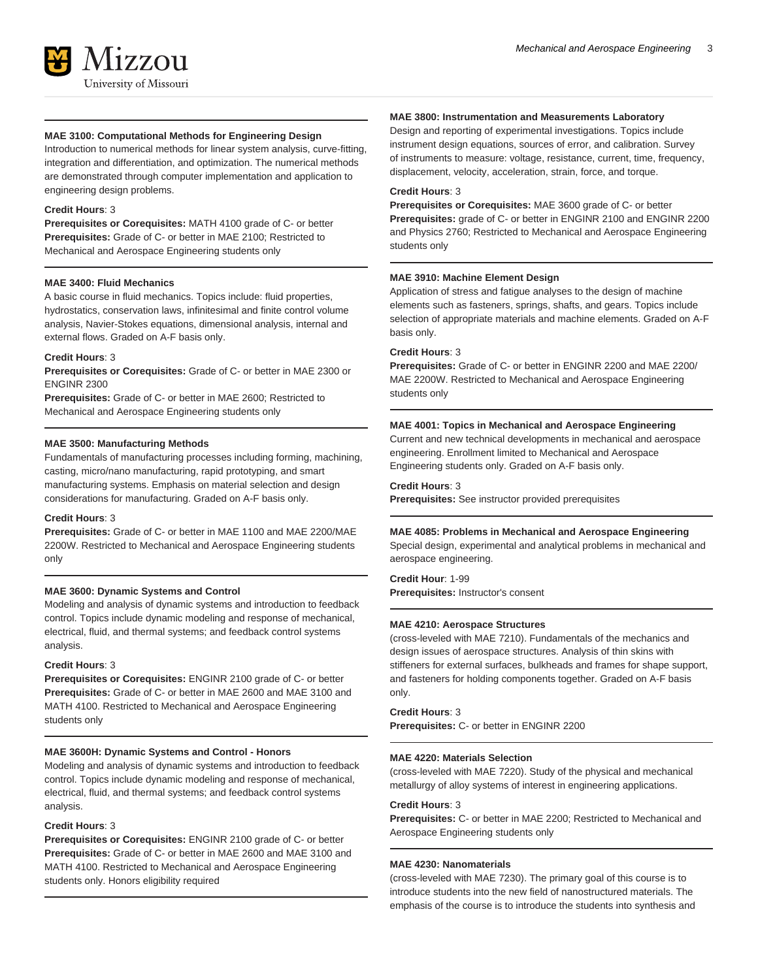

### **MAE 3100: Computational Methods for Engineering Design**

Introduction to numerical methods for linear system analysis, curve-fitting, integration and differentiation, and optimization. The numerical methods are demonstrated through computer implementation and application to engineering design problems.

### **Credit Hours**: 3

**Prerequisites or Corequisites:** MATH 4100 grade of C- or better **Prerequisites:** Grade of C- or better in MAE 2100; Restricted to Mechanical and Aerospace Engineering students only

### **MAE 3400: Fluid Mechanics**

A basic course in fluid mechanics. Topics include: fluid properties, hydrostatics, conservation laws, infinitesimal and finite control volume analysis, Navier-Stokes equations, dimensional analysis, internal and external flows. Graded on A-F basis only.

### **Credit Hours**: 3

**Prerequisites or Corequisites:** Grade of C- or better in MAE 2300 or ENGINR 2300

**Prerequisites:** Grade of C- or better in MAE 2600; Restricted to Mechanical and Aerospace Engineering students only

### **MAE 3500: Manufacturing Methods**

Fundamentals of manufacturing processes including forming, machining, casting, micro/nano manufacturing, rapid prototyping, and smart manufacturing systems. Emphasis on material selection and design considerations for manufacturing. Graded on A-F basis only.

#### **Credit Hours**: 3

**Prerequisites:** Grade of C- or better in MAE 1100 and MAE 2200/MAE 2200W. Restricted to Mechanical and Aerospace Engineering students only

### **MAE 3600: Dynamic Systems and Control**

Modeling and analysis of dynamic systems and introduction to feedback control. Topics include dynamic modeling and response of mechanical, electrical, fluid, and thermal systems; and feedback control systems analysis.

#### **Credit Hours**: 3

**Prerequisites or Corequisites:** ENGINR 2100 grade of C- or better **Prerequisites:** Grade of C- or better in MAE 2600 and MAE 3100 and MATH 4100. Restricted to Mechanical and Aerospace Engineering students only

### **MAE 3600H: Dynamic Systems and Control - Honors**

Modeling and analysis of dynamic systems and introduction to feedback control. Topics include dynamic modeling and response of mechanical, electrical, fluid, and thermal systems; and feedback control systems analysis.

#### **Credit Hours**: 3

**Prerequisites or Corequisites:** ENGINR 2100 grade of C- or better **Prerequisites:** Grade of C- or better in MAE 2600 and MAE 3100 and MATH 4100. Restricted to Mechanical and Aerospace Engineering students only. Honors eligibility required

#### **MAE 3800: Instrumentation and Measurements Laboratory**

Design and reporting of experimental investigations. Topics include instrument design equations, sources of error, and calibration. Survey of instruments to measure: voltage, resistance, current, time, frequency, displacement, velocity, acceleration, strain, force, and torque.

### **Credit Hours**: 3

**Prerequisites or Corequisites:** MAE 3600 grade of C- or better **Prerequisites:** grade of C- or better in ENGINR 2100 and ENGINR 2200 and Physics 2760; Restricted to Mechanical and Aerospace Engineering students only

### **MAE 3910: Machine Element Design**

Application of stress and fatigue analyses to the design of machine elements such as fasteners, springs, shafts, and gears. Topics include selection of appropriate materials and machine elements. Graded on A-F basis only.

### **Credit Hours**: 3

**Prerequisites:** Grade of C- or better in ENGINR 2200 and MAE 2200/ MAE 2200W. Restricted to Mechanical and Aerospace Engineering students only

### **MAE 4001: Topics in Mechanical and Aerospace Engineering**

Current and new technical developments in mechanical and aerospace engineering. Enrollment limited to Mechanical and Aerospace Engineering students only. Graded on A-F basis only.

#### **Credit Hours**: 3

**Prerequisites:** See instructor provided prerequisites

#### **MAE 4085: Problems in Mechanical and Aerospace Engineering**

Special design, experimental and analytical problems in mechanical and aerospace engineering.

**Credit Hour**: 1-99 **Prerequisites:** Instructor's consent

### **MAE 4210: Aerospace Structures**

(cross-leveled with MAE 7210). Fundamentals of the mechanics and design issues of aerospace structures. Analysis of thin skins with stiffeners for external surfaces, bulkheads and frames for shape support, and fasteners for holding components together. Graded on A-F basis only.

### **Credit Hours**: 3

**Prerequisites:** C- or better in ENGINR 2200

### **MAE 4220: Materials Selection**

(cross-leveled with MAE 7220). Study of the physical and mechanical metallurgy of alloy systems of interest in engineering applications.

#### **Credit Hours**: 3

**Prerequisites:** C- or better in MAE 2200; Restricted to Mechanical and Aerospace Engineering students only

### **MAE 4230: Nanomaterials**

(cross-leveled with MAE 7230). The primary goal of this course is to introduce students into the new field of nanostructured materials. The emphasis of the course is to introduce the students into synthesis and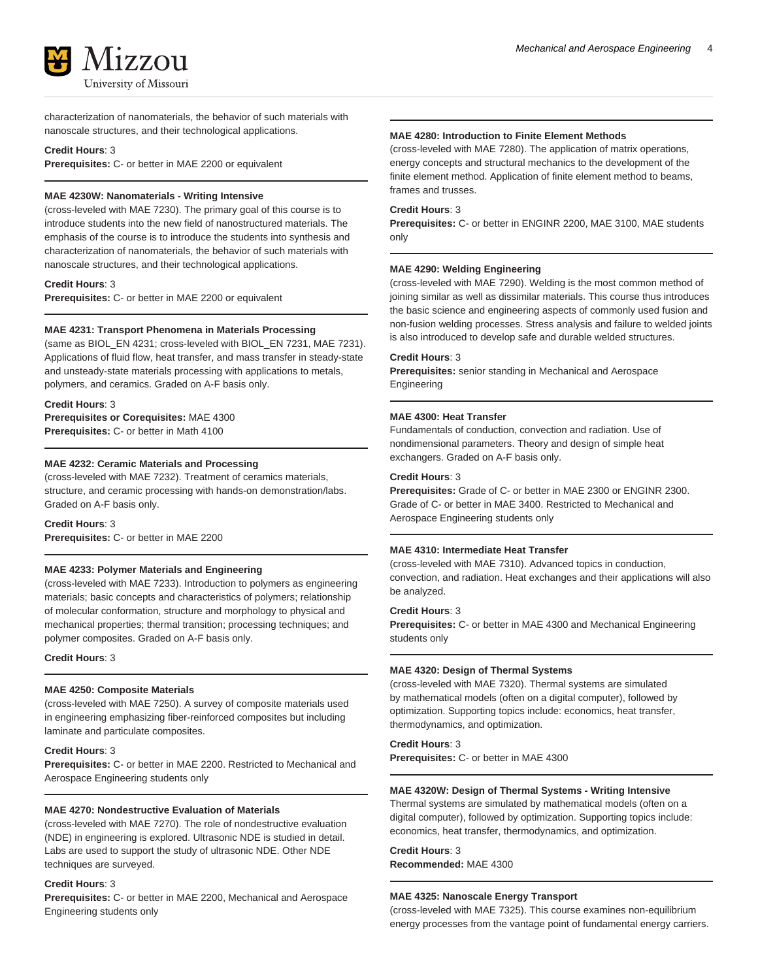

characterization of nanomaterials, the behavior of such materials with nanoscale structures, and their technological applications.

### **Credit Hours**: 3

**Prerequisites:** C- or better in MAE 2200 or equivalent

### **MAE 4230W: Nanomaterials - Writing Intensive**

(cross-leveled with MAE 7230). The primary goal of this course is to introduce students into the new field of nanostructured materials. The emphasis of the course is to introduce the students into synthesis and characterization of nanomaterials, the behavior of such materials with nanoscale structures, and their technological applications.

**Credit Hours**: 3

**Prerequisites:** C- or better in MAE 2200 or equivalent

### **MAE 4231: Transport Phenomena in Materials Processing**

(same as BIOL\_EN 4231; cross-leveled with BIOL\_EN 7231, MAE 7231). Applications of fluid flow, heat transfer, and mass transfer in steady-state and unsteady-state materials processing with applications to metals, polymers, and ceramics. Graded on A-F basis only.

### **Credit Hours**: 3

**Prerequisites or Corequisites:** MAE 4300 **Prerequisites:** C- or better in Math 4100

### **MAE 4232: Ceramic Materials and Processing**

(cross-leveled with MAE 7232). Treatment of ceramics materials, structure, and ceramic processing with hands-on demonstration/labs. Graded on A-F basis only.

**Credit Hours**: 3

**Prerequisites:** C- or better in MAE 2200

### **MAE 4233: Polymer Materials and Engineering**

(cross-leveled with MAE 7233). Introduction to polymers as engineering materials; basic concepts and characteristics of polymers; relationship of molecular conformation, structure and morphology to physical and mechanical properties; thermal transition; processing techniques; and polymer composites. Graded on A-F basis only.

**Credit Hours**: 3

#### **MAE 4250: Composite Materials**

(cross-leveled with MAE 7250). A survey of composite materials used in engineering emphasizing fiber-reinforced composites but including laminate and particulate composites.

### **Credit Hours**: 3

**Prerequisites:** C- or better in MAE 2200. Restricted to Mechanical and Aerospace Engineering students only

### **MAE 4270: Nondestructive Evaluation of Materials**

(cross-leveled with MAE 7270). The role of nondestructive evaluation (NDE) in engineering is explored. Ultrasonic NDE is studied in detail. Labs are used to support the study of ultrasonic NDE. Other NDE techniques are surveyed.

#### **Credit Hours**: 3

**Prerequisites:** C- or better in MAE 2200, Mechanical and Aerospace Engineering students only

### **MAE 4280: Introduction to Finite Element Methods**

(cross-leveled with MAE 7280). The application of matrix operations, energy concepts and structural mechanics to the development of the finite element method. Application of finite element method to beams, frames and trusses.

### **Credit Hours**: 3

**Prerequisites:** C- or better in ENGINR 2200, MAE 3100, MAE students only

#### **MAE 4290: Welding Engineering**

(cross-leveled with MAE 7290). Welding is the most common method of joining similar as well as dissimilar materials. This course thus introduces the basic science and engineering aspects of commonly used fusion and non-fusion welding processes. Stress analysis and failure to welded joints is also introduced to develop safe and durable welded structures.

#### **Credit Hours**: 3

**Prerequisites:** senior standing in Mechanical and Aerospace Engineering

#### **MAE 4300: Heat Transfer**

Fundamentals of conduction, convection and radiation. Use of nondimensional parameters. Theory and design of simple heat exchangers. Graded on A-F basis only.

#### **Credit Hours**: 3

**Prerequisites:** Grade of C- or better in MAE 2300 or ENGINR 2300. Grade of C- or better in MAE 3400. Restricted to Mechanical and Aerospace Engineering students only

### **MAE 4310: Intermediate Heat Transfer**

(cross-leveled with MAE 7310). Advanced topics in conduction, convection, and radiation. Heat exchanges and their applications will also be analyzed.

### **Credit Hours**: 3

**Prerequisites:** C- or better in MAE 4300 and Mechanical Engineering students only

### **MAE 4320: Design of Thermal Systems**

(cross-leveled with MAE 7320). Thermal systems are simulated by mathematical models (often on a digital computer), followed by optimization. Supporting topics include: economics, heat transfer, thermodynamics, and optimization.

### **Credit Hours**: 3

**Prerequisites:** C- or better in MAE 4300

### **MAE 4320W: Design of Thermal Systems - Writing Intensive**

Thermal systems are simulated by mathematical models (often on a digital computer), followed by optimization. Supporting topics include: economics, heat transfer, thermodynamics, and optimization.

**Credit Hours**: 3 **Recommended:** MAE 4300

### **MAE 4325: Nanoscale Energy Transport**

(cross-leveled with MAE 7325). This course examines non-equilibrium energy processes from the vantage point of fundamental energy carriers.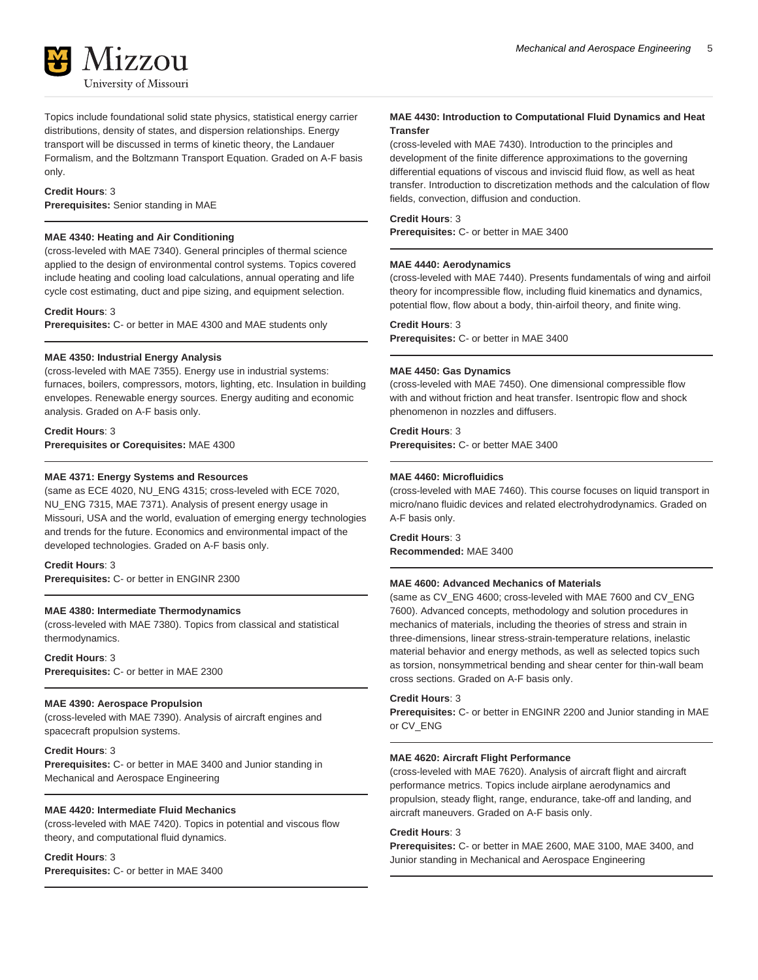

Topics include foundational solid state physics, statistical energy carrier distributions, density of states, and dispersion relationships. Energy transport will be discussed in terms of kinetic theory, the Landauer Formalism, and the Boltzmann Transport Equation. Graded on A-F basis only.

### **Credit Hours**: 3

**Prerequisites:** Senior standing in MAE

### **MAE 4340: Heating and Air Conditioning**

(cross-leveled with MAE 7340). General principles of thermal science applied to the design of environmental control systems. Topics covered include heating and cooling load calculations, annual operating and life cycle cost estimating, duct and pipe sizing, and equipment selection.

**Credit Hours**: 3

**Prerequisites:** C- or better in MAE 4300 and MAE students only

#### **MAE 4350: Industrial Energy Analysis**

(cross-leveled with MAE 7355). Energy use in industrial systems: furnaces, boilers, compressors, motors, lighting, etc. Insulation in building envelopes. Renewable energy sources. Energy auditing and economic analysis. Graded on A-F basis only.

**Credit Hours**: 3 **Prerequisites or Corequisites:** MAE 4300

### **MAE 4371: Energy Systems and Resources**

(same as ECE 4020, NU\_ENG 4315; cross-leveled with ECE 7020, NU\_ENG 7315, MAE 7371). Analysis of present energy usage in Missouri, USA and the world, evaluation of emerging energy technologies and trends for the future. Economics and environmental impact of the developed technologies. Graded on A-F basis only.

### **Credit Hours**: 3

**Prerequisites:** C- or better in ENGINR 2300

### **MAE 4380: Intermediate Thermodynamics**

(cross-leveled with MAE 7380). Topics from classical and statistical thermodynamics.

**Credit Hours**: 3 **Prerequisites:** C- or better in MAE 2300

### **MAE 4390: Aerospace Propulsion**

(cross-leveled with MAE 7390). Analysis of aircraft engines and spacecraft propulsion systems.

**Credit Hours**: 3

**Prerequisites:** C- or better in MAE 3400 and Junior standing in Mechanical and Aerospace Engineering

### **MAE 4420: Intermediate Fluid Mechanics**

(cross-leveled with MAE 7420). Topics in potential and viscous flow theory, and computational fluid dynamics.

### **Credit Hours**: 3

**Prerequisites:** C- or better in MAE 3400

### **MAE 4430: Introduction to Computational Fluid Dynamics and Heat Transfer**

(cross-leveled with MAE 7430). Introduction to the principles and development of the finite difference approximations to the governing differential equations of viscous and inviscid fluid flow, as well as heat transfer. Introduction to discretization methods and the calculation of flow fields, convection, diffusion and conduction.

### **Credit Hours**: 3

**Prerequisites:** C- or better in MAE 3400

### **MAE 4440: Aerodynamics**

(cross-leveled with MAE 7440). Presents fundamentals of wing and airfoil theory for incompressible flow, including fluid kinematics and dynamics, potential flow, flow about a body, thin-airfoil theory, and finite wing.

#### **Credit Hours**: 3

**Prerequisites:** C- or better in MAE 3400

#### **MAE 4450: Gas Dynamics**

(cross-leveled with MAE 7450). One dimensional compressible flow with and without friction and heat transfer. Isentropic flow and shock phenomenon in nozzles and diffusers.

### **Credit Hours**: 3

**Prerequisites:** C- or better MAE 3400

### **MAE 4460: Microfluidics**

(cross-leveled with MAE 7460). This course focuses on liquid transport in micro/nano fluidic devices and related electrohydrodynamics. Graded on A-F basis only.

**Credit Hours**: 3 **Recommended:** MAE 3400

#### **MAE 4600: Advanced Mechanics of Materials**

(same as CV\_ENG 4600; cross-leveled with MAE 7600 and CV\_ENG 7600). Advanced concepts, methodology and solution procedures in mechanics of materials, including the theories of stress and strain in three-dimensions, linear stress-strain-temperature relations, inelastic material behavior and energy methods, as well as selected topics such as torsion, nonsymmetrical bending and shear center for thin-wall beam cross sections. Graded on A-F basis only.

### **Credit Hours**: 3

**Prerequisites:** C- or better in ENGINR 2200 and Junior standing in MAE or CV\_ENG

#### **MAE 4620: Aircraft Flight Performance**

(cross-leveled with MAE 7620). Analysis of aircraft flight and aircraft performance metrics. Topics include airplane aerodynamics and propulsion, steady flight, range, endurance, take-off and landing, and aircraft maneuvers. Graded on A-F basis only.

### **Credit Hours**: 3

**Prerequisites:** C- or better in MAE 2600, MAE 3100, MAE 3400, and Junior standing in Mechanical and Aerospace Engineering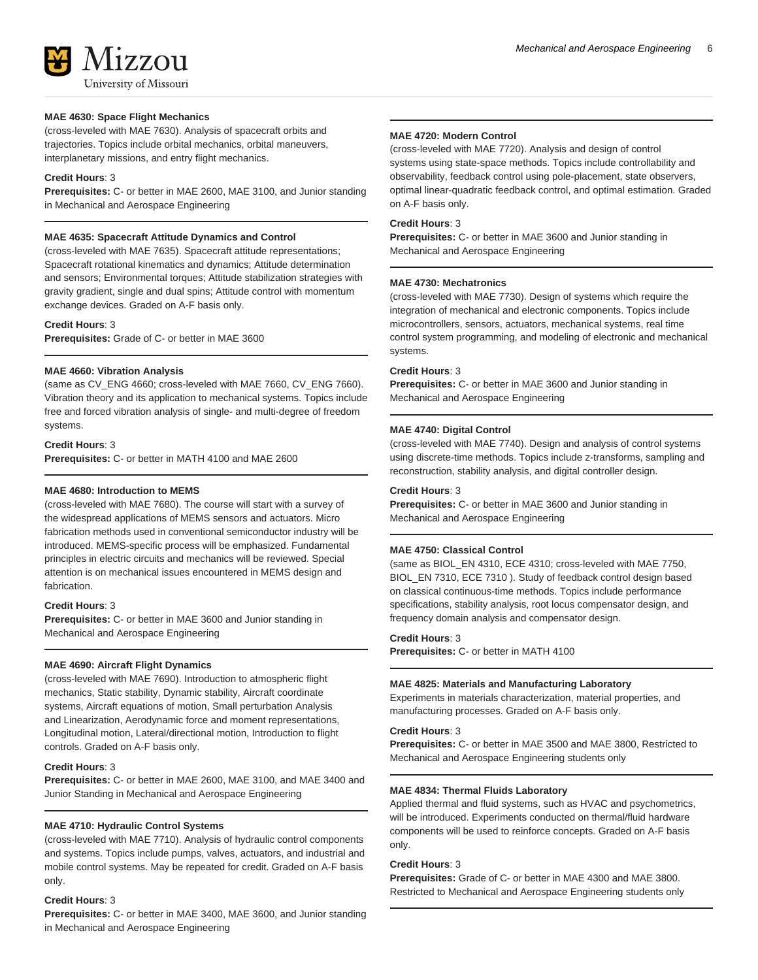

### **MAE 4630: Space Flight Mechanics**

(cross-leveled with MAE 7630). Analysis of spacecraft orbits and trajectories. Topics include orbital mechanics, orbital maneuvers, interplanetary missions, and entry flight mechanics.

### **Credit Hours**: 3

**Prerequisites:** C- or better in MAE 2600, MAE 3100, and Junior standing in Mechanical and Aerospace Engineering

### **MAE 4635: Spacecraft Attitude Dynamics and Control**

(cross-leveled with MAE 7635). Spacecraft attitude representations; Spacecraft rotational kinematics and dynamics; Attitude determination and sensors; Environmental torques; Attitude stabilization strategies with gravity gradient, single and dual spins; Attitude control with momentum exchange devices. Graded on A-F basis only.

#### **Credit Hours**: 3

**Prerequisites:** Grade of C- or better in MAE 3600

### **MAE 4660: Vibration Analysis**

(same as CV\_ENG 4660; cross-leveled with MAE 7660, CV\_ENG 7660). Vibration theory and its application to mechanical systems. Topics include free and forced vibration analysis of single- and multi-degree of freedom systems.

### **Credit Hours**: 3

**Prerequisites:** C- or better in MATH 4100 and MAE 2600

### **MAE 4680: Introduction to MEMS**

(cross-leveled with MAE 7680). The course will start with a survey of the widespread applications of MEMS sensors and actuators. Micro fabrication methods used in conventional semiconductor industry will be introduced. MEMS-specific process will be emphasized. Fundamental principles in electric circuits and mechanics will be reviewed. Special attention is on mechanical issues encountered in MEMS design and fabrication.

### **Credit Hours**: 3

**Prerequisites:** C- or better in MAE 3600 and Junior standing in Mechanical and Aerospace Engineering

### **MAE 4690: Aircraft Flight Dynamics**

(cross-leveled with MAE 7690). Introduction to atmospheric flight mechanics, Static stability, Dynamic stability, Aircraft coordinate systems, Aircraft equations of motion, Small perturbation Analysis and Linearization, Aerodynamic force and moment representations, Longitudinal motion, Lateral/directional motion, Introduction to flight controls. Graded on A-F basis only.

### **Credit Hours**: 3

**Prerequisites:** C- or better in MAE 2600, MAE 3100, and MAE 3400 and Junior Standing in Mechanical and Aerospace Engineering

### **MAE 4710: Hydraulic Control Systems**

(cross-leveled with MAE 7710). Analysis of hydraulic control components and systems. Topics include pumps, valves, actuators, and industrial and mobile control systems. May be repeated for credit. Graded on A-F basis only.

#### **Credit Hours**: 3

**Prerequisites:** C- or better in MAE 3400, MAE 3600, and Junior standing in Mechanical and Aerospace Engineering

### **MAE 4720: Modern Control**

(cross-leveled with MAE 7720). Analysis and design of control systems using state-space methods. Topics include controllability and observability, feedback control using pole-placement, state observers, optimal linear-quadratic feedback control, and optimal estimation. Graded on A-F basis only.

### **Credit Hours**: 3

**Prerequisites:** C- or better in MAE 3600 and Junior standing in Mechanical and Aerospace Engineering

#### **MAE 4730: Mechatronics**

(cross-leveled with MAE 7730). Design of systems which require the integration of mechanical and electronic components. Topics include microcontrollers, sensors, actuators, mechanical systems, real time control system programming, and modeling of electronic and mechanical systems.

### **Credit Hours**: 3

**Prerequisites:** C- or better in MAE 3600 and Junior standing in Mechanical and Aerospace Engineering

### **MAE 4740: Digital Control**

(cross-leveled with MAE 7740). Design and analysis of control systems using discrete-time methods. Topics include z-transforms, sampling and reconstruction, stability analysis, and digital controller design.

#### **Credit Hours**: 3

**Prerequisites:** C- or better in MAE 3600 and Junior standing in Mechanical and Aerospace Engineering

### **MAE 4750: Classical Control**

(same as BIOL\_EN 4310, ECE 4310; cross-leveled with MAE 7750, BIOL\_EN 7310, ECE 7310 ). Study of feedback control design based on classical continuous-time methods. Topics include performance specifications, stability analysis, root locus compensator design, and frequency domain analysis and compensator design.

### **Credit Hours**: 3

**Prerequisites:** C- or better in MATH 4100

#### **MAE 4825: Materials and Manufacturing Laboratory**

Experiments in materials characterization, material properties, and manufacturing processes. Graded on A-F basis only.

#### **Credit Hours**: 3

**Prerequisites:** C- or better in MAE 3500 and MAE 3800, Restricted to Mechanical and Aerospace Engineering students only

### **MAE 4834: Thermal Fluids Laboratory**

Applied thermal and fluid systems, such as HVAC and psychometrics, will be introduced. Experiments conducted on thermal/fluid hardware components will be used to reinforce concepts. Graded on A-F basis only.

### **Credit Hours**: 3

**Prerequisites:** Grade of C- or better in MAE 4300 and MAE 3800. Restricted to Mechanical and Aerospace Engineering students only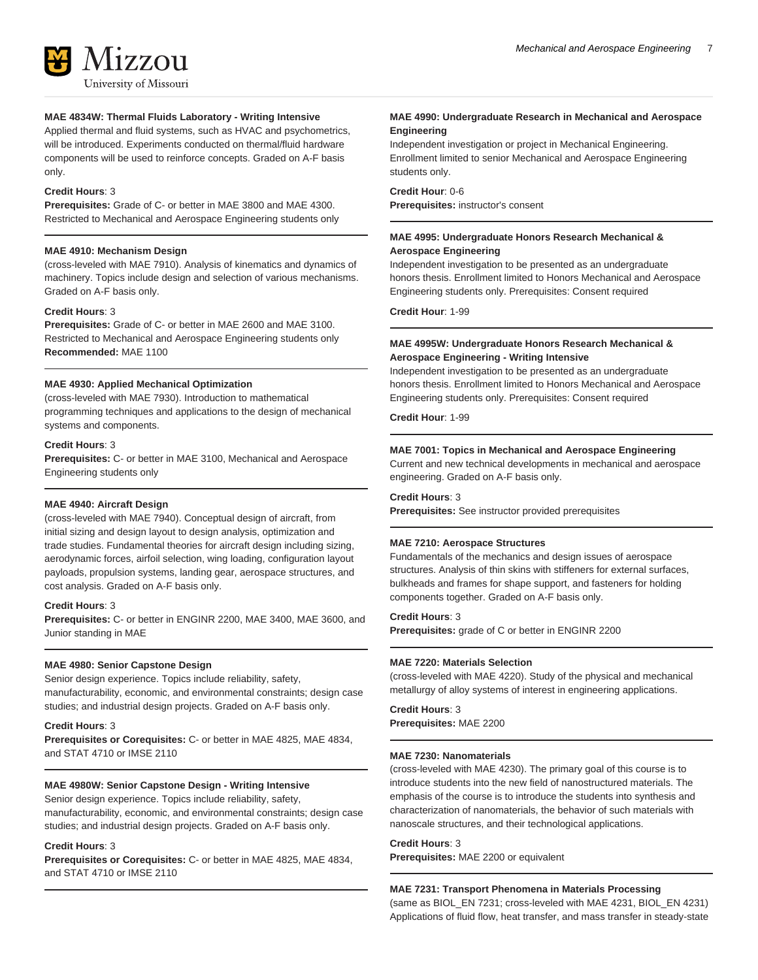

**MAE 4834W: Thermal Fluids Laboratory - Writing Intensive** Applied thermal and fluid systems, such as HVAC and psychometrics, will be introduced. Experiments conducted on thermal/fluid hardware components will be used to reinforce concepts. Graded on A-F basis only.

### **Credit Hours**: 3

**Prerequisites:** Grade of C- or better in MAE 3800 and MAE 4300. Restricted to Mechanical and Aerospace Engineering students only

### **MAE 4910: Mechanism Design**

(cross-leveled with MAE 7910). Analysis of kinematics and dynamics of machinery. Topics include design and selection of various mechanisms. Graded on A-F basis only.

### **Credit Hours**: 3

**Prerequisites:** Grade of C- or better in MAE 2600 and MAE 3100. Restricted to Mechanical and Aerospace Engineering students only **Recommended:** MAE 1100

### **MAE 4930: Applied Mechanical Optimization**

(cross-leveled with MAE 7930). Introduction to mathematical programming techniques and applications to the design of mechanical systems and components.

### **Credit Hours**: 3

**Prerequisites:** C- or better in MAE 3100, Mechanical and Aerospace Engineering students only

### **MAE 4940: Aircraft Design**

(cross-leveled with MAE 7940). Conceptual design of aircraft, from initial sizing and design layout to design analysis, optimization and trade studies. Fundamental theories for aircraft design including sizing, aerodynamic forces, airfoil selection, wing loading, configuration layout payloads, propulsion systems, landing gear, aerospace structures, and cost analysis. Graded on A-F basis only.

### **Credit Hours**: 3

**Prerequisites:** C- or better in ENGINR 2200, MAE 3400, MAE 3600, and Junior standing in MAE

### **MAE 4980: Senior Capstone Design**

Senior design experience. Topics include reliability, safety, manufacturability, economic, and environmental constraints; design case studies; and industrial design projects. Graded on A-F basis only.

### **Credit Hours**: 3

**Prerequisites or Corequisites:** C- or better in MAE 4825, MAE 4834, and STAT 4710 or IMSE 2110

### **MAE 4980W: Senior Capstone Design - Writing Intensive**

Senior design experience. Topics include reliability, safety, manufacturability, economic, and environmental constraints; design case studies; and industrial design projects. Graded on A-F basis only.

### **Credit Hours**: 3

**Prerequisites or Corequisites:** C- or better in MAE 4825, MAE 4834, and STAT 4710 or IMSE 2110

### **MAE 4990: Undergraduate Research in Mechanical and Aerospace Engineering**

Independent investigation or project in Mechanical Engineering. Enrollment limited to senior Mechanical and Aerospace Engineering students only.

**Credit Hour**: 0-6 **Prerequisites:** instructor's consent

### **MAE 4995: Undergraduate Honors Research Mechanical & Aerospace Engineering**

Independent investigation to be presented as an undergraduate honors thesis. Enrollment limited to Honors Mechanical and Aerospace Engineering students only. Prerequisites: Consent required

**Credit Hour**: 1-99

### **MAE 4995W: Undergraduate Honors Research Mechanical & Aerospace Engineering - Writing Intensive**

Independent investigation to be presented as an undergraduate honors thesis. Enrollment limited to Honors Mechanical and Aerospace Engineering students only. Prerequisites: Consent required

**Credit Hour**: 1-99

### **MAE 7001: Topics in Mechanical and Aerospace Engineering**

Current and new technical developments in mechanical and aerospace engineering. Graded on A-F basis only.

### **Credit Hours**: 3

**Prerequisites:** See instructor provided prerequisites

### **MAE 7210: Aerospace Structures**

Fundamentals of the mechanics and design issues of aerospace structures. Analysis of thin skins with stiffeners for external surfaces, bulkheads and frames for shape support, and fasteners for holding components together. Graded on A-F basis only.

### **Credit Hours**: 3

**Prerequisites:** grade of C or better in ENGINR 2200

### **MAE 7220: Materials Selection**

(cross-leveled with MAE 4220). Study of the physical and mechanical metallurgy of alloy systems of interest in engineering applications.

**Credit Hours**: 3 **Prerequisites:** MAE 2200

### **MAE 7230: Nanomaterials**

(cross-leveled with MAE 4230). The primary goal of this course is to introduce students into the new field of nanostructured materials. The emphasis of the course is to introduce the students into synthesis and characterization of nanomaterials, the behavior of such materials with nanoscale structures, and their technological applications.

### **Credit Hours**: 3

**Prerequisites:** MAE 2200 or equivalent

### **MAE 7231: Transport Phenomena in Materials Processing**

(same as BIOL\_EN 7231; cross-leveled with MAE 4231, BIOL\_EN 4231) Applications of fluid flow, heat transfer, and mass transfer in steady-state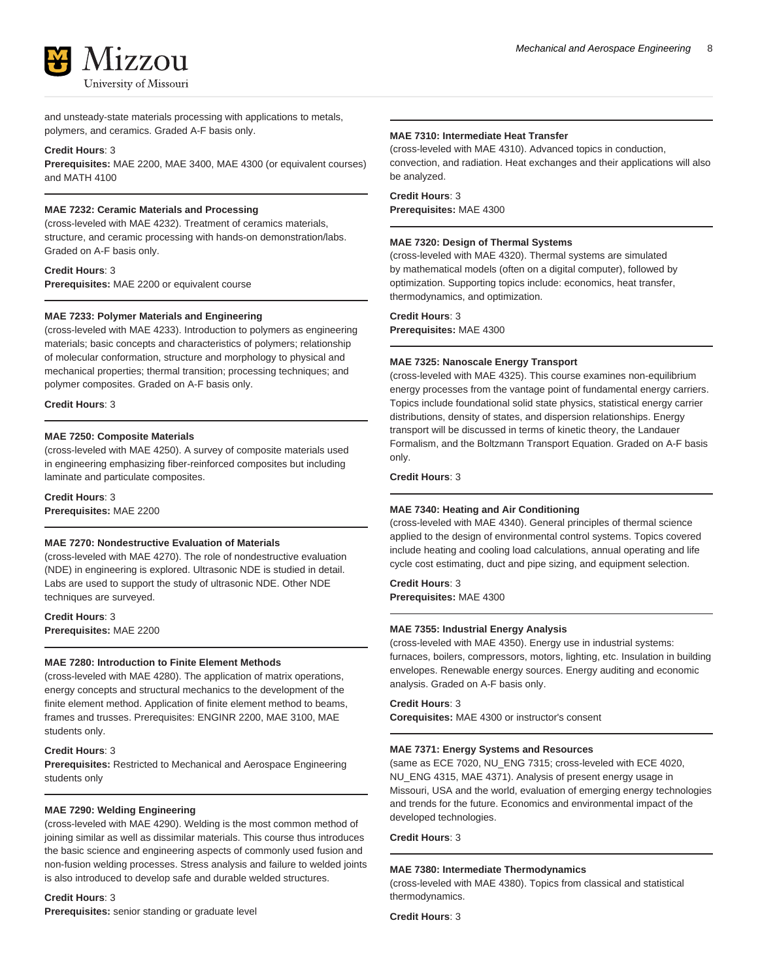

and unsteady-state materials processing with applications to metals, polymers, and ceramics. Graded A-F basis only.

### **Credit Hours**: 3

**Prerequisites:** MAE 2200, MAE 3400, MAE 4300 (or equivalent courses) and MATH 4100

### **MAE 7232: Ceramic Materials and Processing**

(cross-leveled with MAE 4232). Treatment of ceramics materials, structure, and ceramic processing with hands-on demonstration/labs. Graded on A-F basis only.

**Credit Hours**: 3 **Prerequisites:** MAE 2200 or equivalent course

### **MAE 7233: Polymer Materials and Engineering**

(cross-leveled with MAE 4233). Introduction to polymers as engineering materials; basic concepts and characteristics of polymers; relationship of molecular conformation, structure and morphology to physical and mechanical properties; thermal transition; processing techniques; and polymer composites. Graded on A-F basis only.

**Credit Hours**: 3

### **MAE 7250: Composite Materials**

(cross-leveled with MAE 4250). A survey of composite materials used in engineering emphasizing fiber-reinforced composites but including laminate and particulate composites.

**Credit Hours**: 3 **Prerequisites:** MAE 2200

### **MAE 7270: Nondestructive Evaluation of Materials**

(cross-leveled with MAE 4270). The role of nondestructive evaluation (NDE) in engineering is explored. Ultrasonic NDE is studied in detail. Labs are used to support the study of ultrasonic NDE. Other NDE techniques are surveyed.

**Credit Hours**: 3 **Prerequisites:** MAE 2200

#### **MAE 7280: Introduction to Finite Element Methods**

(cross-leveled with MAE 4280). The application of matrix operations, energy concepts and structural mechanics to the development of the finite element method. Application of finite element method to beams, frames and trusses. Prerequisites: ENGINR 2200, MAE 3100, MAE students only.

### **Credit Hours**: 3

**Prerequisites:** Restricted to Mechanical and Aerospace Engineering students only

### **MAE 7290: Welding Engineering**

(cross-leveled with MAE 4290). Welding is the most common method of joining similar as well as dissimilar materials. This course thus introduces the basic science and engineering aspects of commonly used fusion and non-fusion welding processes. Stress analysis and failure to welded joints is also introduced to develop safe and durable welded structures.

#### **Credit Hours**: 3

**Prerequisites:** senior standing or graduate level

### **MAE 7310: Intermediate Heat Transfer**

(cross-leveled with MAE 4310). Advanced topics in conduction, convection, and radiation. Heat exchanges and their applications will also be analyzed.

### **Credit Hours**: 3

**Prerequisites:** MAE 4300

### **MAE 7320: Design of Thermal Systems**

(cross-leveled with MAE 4320). Thermal systems are simulated by mathematical models (often on a digital computer), followed by optimization. Supporting topics include: economics, heat transfer, thermodynamics, and optimization.

### **Credit Hours**: 3

**Prerequisites:** MAE 4300

### **MAE 7325: Nanoscale Energy Transport**

(cross-leveled with MAE 4325). This course examines non-equilibrium energy processes from the vantage point of fundamental energy carriers. Topics include foundational solid state physics, statistical energy carrier distributions, density of states, and dispersion relationships. Energy transport will be discussed in terms of kinetic theory, the Landauer Formalism, and the Boltzmann Transport Equation. Graded on A-F basis only.

**Credit Hours**: 3

### **MAE 7340: Heating and Air Conditioning**

(cross-leveled with MAE 4340). General principles of thermal science applied to the design of environmental control systems. Topics covered include heating and cooling load calculations, annual operating and life cycle cost estimating, duct and pipe sizing, and equipment selection.

**Credit Hours**: 3 **Prerequisites:** MAE 4300

#### **MAE 7355: Industrial Energy Analysis**

(cross-leveled with MAE 4350). Energy use in industrial systems: furnaces, boilers, compressors, motors, lighting, etc. Insulation in building envelopes. Renewable energy sources. Energy auditing and economic analysis. Graded on A-F basis only.

### **Credit Hours**: 3

**Corequisites:** MAE 4300 or instructor's consent

### **MAE 7371: Energy Systems and Resources**

(same as ECE 7020, NU\_ENG 7315; cross-leveled with ECE 4020, NU\_ENG 4315, MAE 4371). Analysis of present energy usage in Missouri, USA and the world, evaluation of emerging energy technologies and trends for the future. Economics and environmental impact of the developed technologies.

### **Credit Hours**: 3

### **MAE 7380: Intermediate Thermodynamics**

(cross-leveled with MAE 4380). Topics from classical and statistical thermodynamics.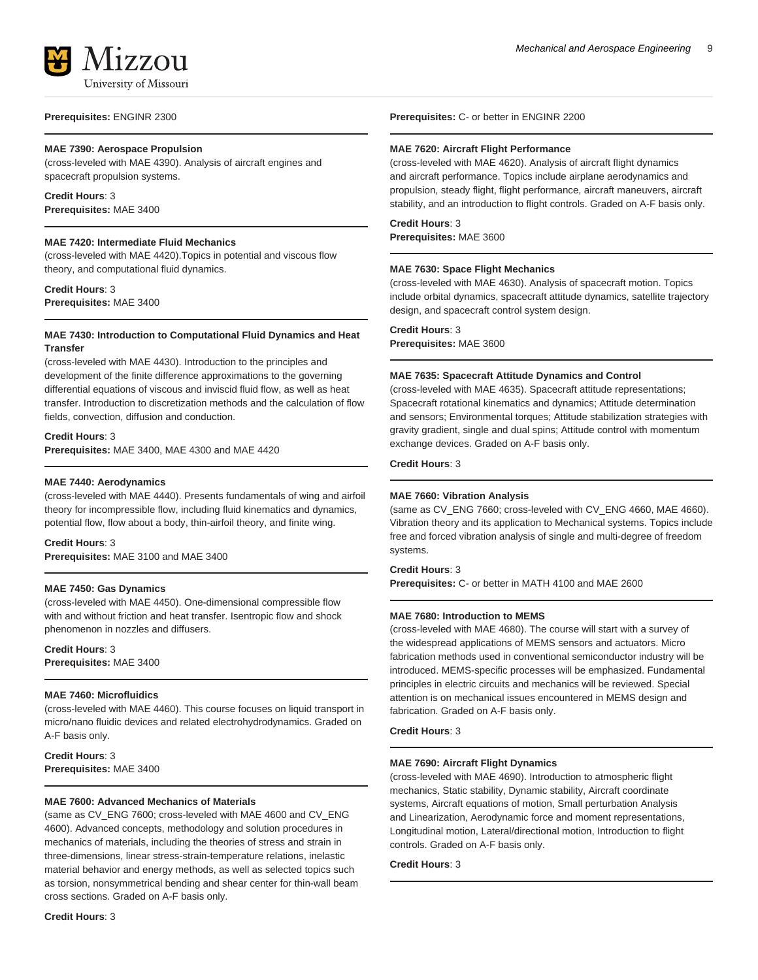

**Prerequisites:** ENGINR 2300

### **MAE 7390: Aerospace Propulsion**

(cross-leveled with MAE 4390). Analysis of aircraft engines and spacecraft propulsion systems.

### **Credit Hours**: 3

**Prerequisites:** MAE 3400

### **MAE 7420: Intermediate Fluid Mechanics**

(cross-leveled with MAE 4420).Topics in potential and viscous flow theory, and computational fluid dynamics.

**Credit Hours**: 3 **Prerequisites:** MAE 3400

### **MAE 7430: Introduction to Computational Fluid Dynamics and Heat Transfer**

(cross-leveled with MAE 4430). Introduction to the principles and development of the finite difference approximations to the governing differential equations of viscous and inviscid fluid flow, as well as heat transfer. Introduction to discretization methods and the calculation of flow fields, convection, diffusion and conduction.

### **Credit Hours**: 3

**Prerequisites:** MAE 3400, MAE 4300 and MAE 4420

### **MAE 7440: Aerodynamics**

(cross-leveled with MAE 4440). Presents fundamentals of wing and airfoil theory for incompressible flow, including fluid kinematics and dynamics, potential flow, flow about a body, thin-airfoil theory, and finite wing.

### **Credit Hours**: 3

**Prerequisites:** MAE 3100 and MAE 3400

### **MAE 7450: Gas Dynamics**

(cross-leveled with MAE 4450). One-dimensional compressible flow with and without friction and heat transfer. Isentropic flow and shock phenomenon in nozzles and diffusers.

**Credit Hours**: 3 **Prerequisites:** MAE 3400

### **MAE 7460: Microfluidics**

(cross-leveled with MAE 4460). This course focuses on liquid transport in micro/nano fluidic devices and related electrohydrodynamics. Graded on A-F basis only.

**Credit Hours**: 3 **Prerequisites:** MAE 3400

### **MAE 7600: Advanced Mechanics of Materials**

(same as CV\_ENG 7600; cross-leveled with MAE 4600 and CV\_ENG 4600). Advanced concepts, methodology and solution procedures in mechanics of materials, including the theories of stress and strain in three-dimensions, linear stress-strain-temperature relations, inelastic material behavior and energy methods, as well as selected topics such as torsion, nonsymmetrical bending and shear center for thin-wall beam cross sections. Graded on A-F basis only.

**Credit Hours**: 3

**Prerequisites:** C- or better in ENGINR 2200

### **MAE 7620: Aircraft Flight Performance**

(cross-leveled with MAE 4620). Analysis of aircraft flight dynamics and aircraft performance. Topics include airplane aerodynamics and propulsion, steady flight, flight performance, aircraft maneuvers, aircraft stability, and an introduction to flight controls. Graded on A-F basis only.

### **Credit Hours**: 3

**Prerequisites:** MAE 3600

### **MAE 7630: Space Flight Mechanics**

(cross-leveled with MAE 4630). Analysis of spacecraft motion. Topics include orbital dynamics, spacecraft attitude dynamics, satellite trajectory design, and spacecraft control system design.

### **Credit Hours**: 3

**Prerequisites:** MAE 3600

### **MAE 7635: Spacecraft Attitude Dynamics and Control**

(cross-leveled with MAE 4635). Spacecraft attitude representations; Spacecraft rotational kinematics and dynamics; Attitude determination and sensors; Environmental torques; Attitude stabilization strategies with gravity gradient, single and dual spins; Attitude control with momentum exchange devices. Graded on A-F basis only.

### **Credit Hours**: 3

### **MAE 7660: Vibration Analysis**

(same as CV\_ENG 7660; cross-leveled with CV\_ENG 4660, MAE 4660). Vibration theory and its application to Mechanical systems. Topics include free and forced vibration analysis of single and multi-degree of freedom systems.

### **Credit Hours**: 3

**Prerequisites:** C- or better in MATH 4100 and MAE 2600

### **MAE 7680: Introduction to MEMS**

(cross-leveled with MAE 4680). The course will start with a survey of the widespread applications of MEMS sensors and actuators. Micro fabrication methods used in conventional semiconductor industry will be introduced. MEMS-specific processes will be emphasized. Fundamental principles in electric circuits and mechanics will be reviewed. Special attention is on mechanical issues encountered in MEMS design and fabrication. Graded on A-F basis only.

**Credit Hours**: 3

### **MAE 7690: Aircraft Flight Dynamics**

(cross-leveled with MAE 4690). Introduction to atmospheric flight mechanics, Static stability, Dynamic stability, Aircraft coordinate systems, Aircraft equations of motion, Small perturbation Analysis and Linearization, Aerodynamic force and moment representations, Longitudinal motion, Lateral/directional motion, Introduction to flight controls. Graded on A-F basis only.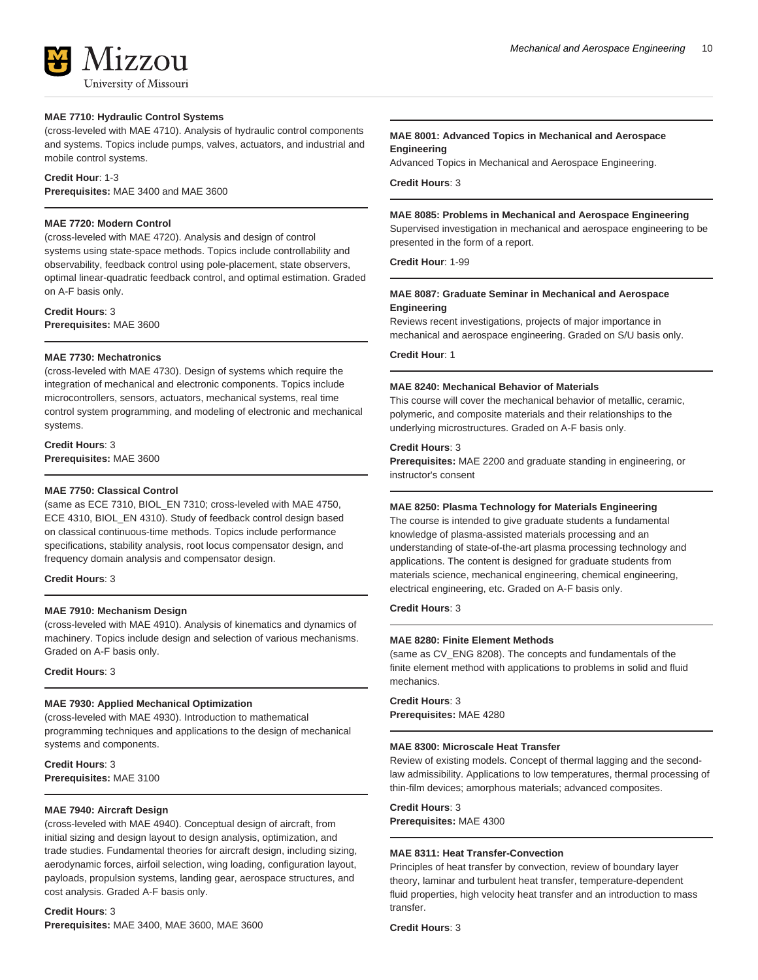### **MAE 7710: Hydraulic Control Systems**

(cross-leveled with MAE 4710). Analysis of hydraulic control components and systems. Topics include pumps, valves, actuators, and industrial and mobile control systems.

### **Credit Hour**: 1-3

**Prerequisites:** MAE 3400 and MAE 3600

### **MAE 7720: Modern Control**

(cross-leveled with MAE 4720). Analysis and design of control systems using state-space methods. Topics include controllability and observability, feedback control using pole-placement, state observers, optimal linear-quadratic feedback control, and optimal estimation. Graded on A-F basis only.

**Credit Hours**: 3 **Prerequisites:** MAE 3600

#### **MAE 7730: Mechatronics**

(cross-leveled with MAE 4730). Design of systems which require the integration of mechanical and electronic components. Topics include microcontrollers, sensors, actuators, mechanical systems, real time control system programming, and modeling of electronic and mechanical systems.

**Credit Hours**: 3 **Prerequisites:** MAE 3600

### **MAE 7750: Classical Control**

(same as ECE 7310, BIOL\_EN 7310; cross-leveled with MAE 4750, ECE 4310, BIOL\_EN 4310). Study of feedback control design based on classical continuous-time methods. Topics include performance specifications, stability analysis, root locus compensator design, and frequency domain analysis and compensator design.

### **Credit Hours**: 3

### **MAE 7910: Mechanism Design**

(cross-leveled with MAE 4910). Analysis of kinematics and dynamics of machinery. Topics include design and selection of various mechanisms. Graded on A-F basis only.

**Credit Hours**: 3

### **MAE 7930: Applied Mechanical Optimization**

(cross-leveled with MAE 4930). Introduction to mathematical programming techniques and applications to the design of mechanical systems and components.

**Credit Hours**: 3 **Prerequisites:** MAE 3100

### **MAE 7940: Aircraft Design**

(cross-leveled with MAE 4940). Conceptual design of aircraft, from initial sizing and design layout to design analysis, optimization, and trade studies. Fundamental theories for aircraft design, including sizing, aerodynamic forces, airfoil selection, wing loading, configuration layout, payloads, propulsion systems, landing gear, aerospace structures, and cost analysis. Graded A-F basis only.

**Credit Hours**: 3 **Prerequisites:** MAE 3400, MAE 3600, MAE 3600

### **MAE 8001: Advanced Topics in Mechanical and Aerospace Engineering**

Advanced Topics in Mechanical and Aerospace Engineering.

**Credit Hours**: 3

#### **MAE 8085: Problems in Mechanical and Aerospace Engineering**

Supervised investigation in mechanical and aerospace engineering to be presented in the form of a report.

**Credit Hour**: 1-99

### **MAE 8087: Graduate Seminar in Mechanical and Aerospace Engineering**

Reviews recent investigations, projects of major importance in mechanical and aerospace engineering. Graded on S/U basis only.

**Credit Hour**: 1

#### **MAE 8240: Mechanical Behavior of Materials**

This course will cover the mechanical behavior of metallic, ceramic, polymeric, and composite materials and their relationships to the underlying microstructures. Graded on A-F basis only.

### **Credit Hours**: 3

**Prerequisites:** MAE 2200 and graduate standing in engineering, or instructor's consent

### **MAE 8250: Plasma Technology for Materials Engineering**

The course is intended to give graduate students a fundamental knowledge of plasma-assisted materials processing and an understanding of state-of-the-art plasma processing technology and applications. The content is designed for graduate students from materials science, mechanical engineering, chemical engineering, electrical engineering, etc. Graded on A-F basis only.

**Credit Hours**: 3

### **MAE 8280: Finite Element Methods**

(same as CV\_ENG 8208). The concepts and fundamentals of the finite element method with applications to problems in solid and fluid mechanics.

**Credit Hours**: 3 **Prerequisites:** MAE 4280

#### **MAE 8300: Microscale Heat Transfer**

Review of existing models. Concept of thermal lagging and the secondlaw admissibility. Applications to low temperatures, thermal processing of thin-film devices; amorphous materials; advanced composites.

### **Credit Hours**: 3

**Prerequisites:** MAE 4300

#### **MAE 8311: Heat Transfer-Convection**

Principles of heat transfer by convection, review of boundary layer theory, laminar and turbulent heat transfer, temperature-dependent fluid properties, high velocity heat transfer and an introduction to mass transfer.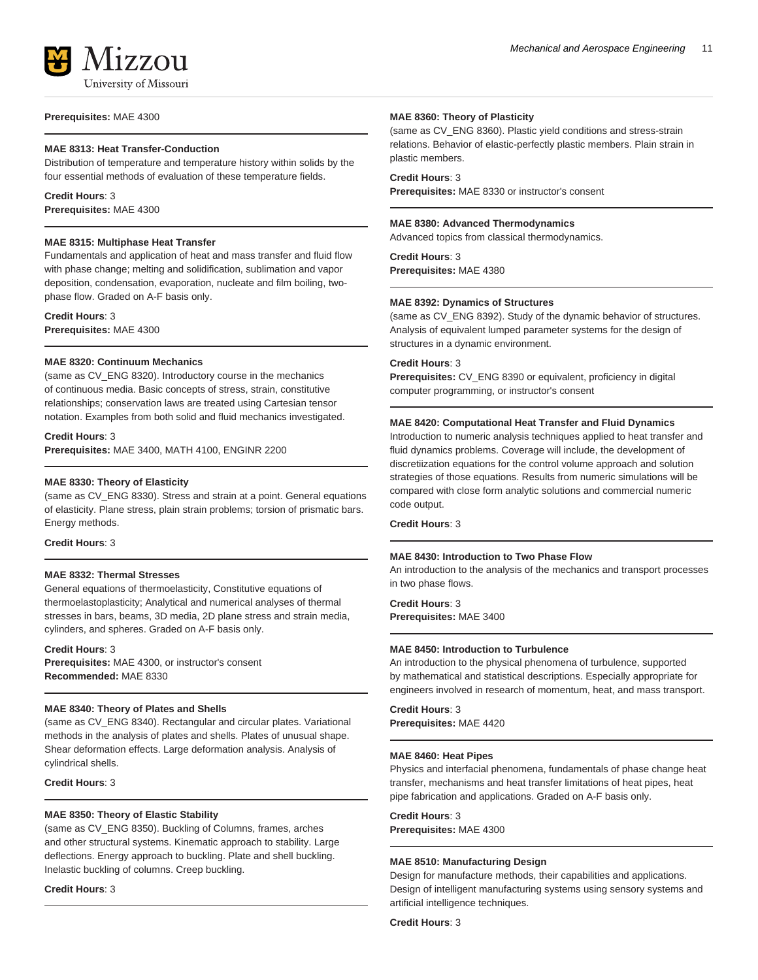

# **Prerequisites:** MAE 4300

### **MAE 8313: Heat Transfer-Conduction**

Distribution of temperature and temperature history within solids by the four essential methods of evaluation of these temperature fields.

## **Credit Hours**: 3

**Prerequisites:** MAE 4300

### **MAE 8315: Multiphase Heat Transfer**

Fundamentals and application of heat and mass transfer and fluid flow with phase change; melting and solidification, sublimation and vapor deposition, condensation, evaporation, nucleate and film boiling, twophase flow. Graded on A-F basis only.

**Credit Hours**: 3 **Prerequisites:** MAE 4300

### **MAE 8320: Continuum Mechanics**

(same as CV\_ENG 8320). Introductory course in the mechanics of continuous media. Basic concepts of stress, strain, constitutive relationships; conservation laws are treated using Cartesian tensor notation. Examples from both solid and fluid mechanics investigated.

**Credit Hours**: 3 **Prerequisites:** MAE 3400, MATH 4100, ENGINR 2200

### **MAE 8330: Theory of Elasticity**

(same as CV\_ENG 8330). Stress and strain at a point. General equations of elasticity. Plane stress, plain strain problems; torsion of prismatic bars. Energy methods.

### **Credit Hours**: 3

### **MAE 8332: Thermal Stresses**

General equations of thermoelasticity, Constitutive equations of thermoelastoplasticity; Analytical and numerical analyses of thermal stresses in bars, beams, 3D media, 2D plane stress and strain media, cylinders, and spheres. Graded on A-F basis only.

### **Credit Hours**: 3

**Prerequisites:** MAE 4300, or instructor's consent **Recommended:** MAE 8330

### **MAE 8340: Theory of Plates and Shells**

(same as CV\_ENG 8340). Rectangular and circular plates. Variational methods in the analysis of plates and shells. Plates of unusual shape. Shear deformation effects. Large deformation analysis. Analysis of cylindrical shells.

**Credit Hours**: 3

### **MAE 8350: Theory of Elastic Stability**

(same as CV\_ENG 8350). Buckling of Columns, frames, arches and other structural systems. Kinematic approach to stability. Large deflections. Energy approach to buckling. Plate and shell buckling. Inelastic buckling of columns. Creep buckling.

**Credit Hours**: 3

### **MAE 8360: Theory of Plasticity**

(same as CV\_ENG 8360). Plastic yield conditions and stress-strain relations. Behavior of elastic-perfectly plastic members. Plain strain in plastic members.

### **Credit Hours**: 3

**Prerequisites:** MAE 8330 or instructor's consent

### **MAE 8380: Advanced Thermodynamics**

Advanced topics from classical thermodynamics.

**Credit Hours**: 3 **Prerequisites:** MAE 4380

### **MAE 8392: Dynamics of Structures**

(same as CV\_ENG 8392). Study of the dynamic behavior of structures. Analysis of equivalent lumped parameter systems for the design of structures in a dynamic environment.

### **Credit Hours**: 3

**Prerequisites:** CV\_ENG 8390 or equivalent, proficiency in digital computer programming, or instructor's consent

### **MAE 8420: Computational Heat Transfer and Fluid Dynamics**

Introduction to numeric analysis techniques applied to heat transfer and fluid dynamics problems. Coverage will include, the development of discretiization equations for the control volume approach and solution strategies of those equations. Results from numeric simulations will be compared with close form analytic solutions and commercial numeric code output.

### **Credit Hours**: 3

### **MAE 8430: Introduction to Two Phase Flow**

An introduction to the analysis of the mechanics and transport processes in two phase flows.

**Credit Hours**: 3 **Prerequisites:** MAE 3400

### **MAE 8450: Introduction to Turbulence**

An introduction to the physical phenomena of turbulence, supported by mathematical and statistical descriptions. Especially appropriate for engineers involved in research of momentum, heat, and mass transport.

**Credit Hours**: 3 **Prerequisites:** MAE 4420

### **MAE 8460: Heat Pipes**

Physics and interfacial phenomena, fundamentals of phase change heat transfer, mechanisms and heat transfer limitations of heat pipes, heat pipe fabrication and applications. Graded on A-F basis only.

**Credit Hours**: 3

## **Prerequisites:** MAE 4300

### **MAE 8510: Manufacturing Design**

Design for manufacture methods, their capabilities and applications. Design of intelligent manufacturing systems using sensory systems and artificial intelligence techniques.